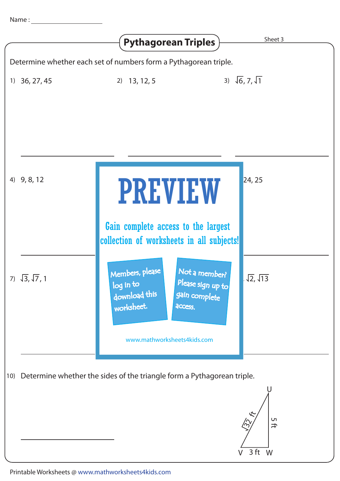